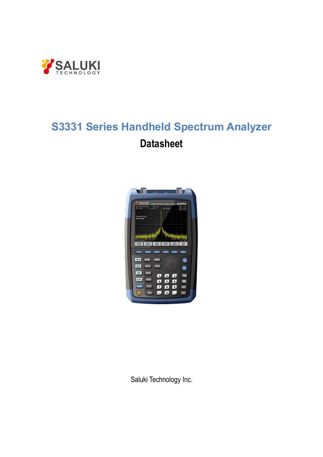

# **S3331 Series Handheld Spectrum Analyzer Datasheet**



Saluki Technology Inc.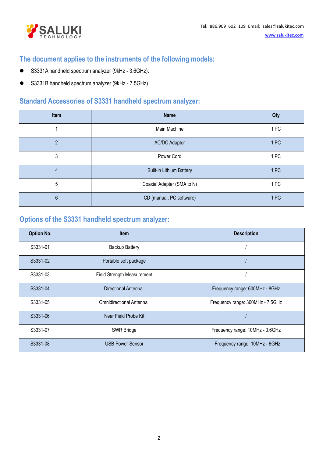



### **The document applies to the instruments of the following models:**

- S3331A handheld spectrum analyzer (9kHz 3.6GHz).
- S3331B handheld spectrum analyzer (9kHz 7.5GHz).

### **Standard Accessories of S3331 handheld spectrum analyzer:**

| Item           | <b>Name</b>                     | Qty  |
|----------------|---------------------------------|------|
|                | Main Machine                    | 1PC  |
| $\mathfrak{p}$ | <b>AC/DC Adaptor</b>            | 1 PC |
| 3              | Power Cord                      | 1PC  |
| $\overline{4}$ | <b>Built-in Lithium Battery</b> | 1PC  |
| 5              | Coaxial Adapter (SMA to N)      | 1PC  |
| $6\,$          | CD (manual, PC software)        | 1PC  |

## **Options of the S3331 handheld spectrum analyzer:**

| <b>Option No.</b> | <b>Item</b>                       | <b>Description</b>               |
|-------------------|-----------------------------------|----------------------------------|
| S3331-01          | <b>Backup Battery</b>             |                                  |
| S3331-02          | Portable soft package             |                                  |
| S3331-03          | <b>Field Strength Measurement</b> |                                  |
| S3331-04          | Directional Antenna               | Frequency range: 600MHz - 8GHz   |
| S3331-05          | <b>Omnidirectional Antenna</b>    | Frequency range: 300MHz - 7.5GHz |
| S3331-06          | Near Field Probe Kit              |                                  |
| S3331-07          | SWR Bridge                        | Frequency range: 10MHz - 3.6GHz  |
| S3331-08          | <b>USB Power Sensor</b>           | Frequency range: 10MHz - 6GHz    |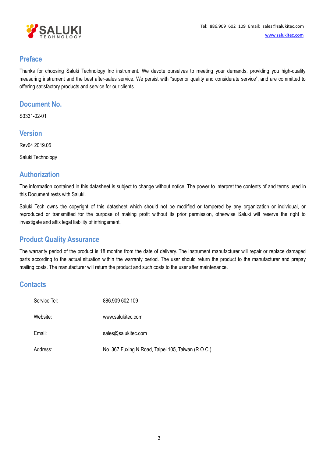

#### **Preface**

Thanks for choosing Saluki Technology Inc instrument. We devote ourselves to meeting your demands, providing you high-quality measuring instrument and the best after-sales service. We persist with "superior quality and considerate service", and are committed to offering satisfactory products and service for our clients.

#### **Document No.**

S3331-02-01

#### **Version**

Rev04 2019.05

Saluki Technology

#### **Authorization**

The information contained in this datasheet is subject to change without notice. The power to interpret the contents of and terms used in this Document rests with Saluki.

Saluki Tech owns the copyright of this datasheet which should not be modified or tampered by any organization or individual, or reproduced or transmitted for the purpose of making profit without its prior permission, otherwise Saluki will reserve the right to investigate and affix legal liability of infringement.

#### **Product Quality Assurance**

The warranty period of the product is 18 months from the date of delivery. The instrument manufacturer will repair or replace damaged parts according to the actual situation within the warranty period. The user should return the product to the manufacturer and prepay mailing costs. The manufacturer will return the productand such costs to the user after maintenance.

#### **Contacts**

| Service Tel: | 886.909 602 109                                    |
|--------------|----------------------------------------------------|
| Website:     | www.salukitec.com                                  |
| Email:       | sales@salukitec.com                                |
| Address:     | No. 367 Fuxing N Road, Taipei 105, Taiwan (R.O.C.) |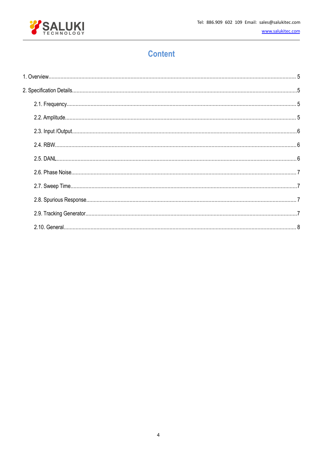

www.salukitec.com

# **Content**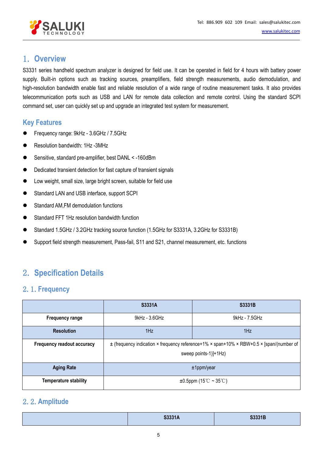

### <span id="page-4-0"></span>1. **Overview**

S3331 series handheld spectrum analyzer is designed for field use. It can be operated in field for 4 hours with battery power supply. Built-in options such as tracking sources, preamplifiers, field strength measurements, audio demodulation, and high-resolution bandwidth enable fast and reliable resolution of a wide range of routine measurement tasks. It also provides telecommunication ports such as USB and LAN for remote data collection and remote control. Using the standard SCPI command set, user can quickly set up and upgrade an integrated test system for measurement.

#### **Key Features**

- Frequency range: 9kHz 3.6GHz / 7.5GHz
- Resolution bandwidth: 1Hz -3MHz
- Sensitive, standard pre-amplifier, best DANL < -160dBm
- $\bullet$  Dedicated transient detection for fast capture of transient signals
- Low weight, small size, large bright screen, suitable for field use
- Standard LAN and USB interface, support SCPI
- Standard AM,FM demodulation functions
- Standard FFT 1Hz resolution bandwidth function
- Standard 1.5GHz / 3.2GHz tracking source function (1.5GHz for S3331A, 3.2GHz for S3331B)
- Support field strength measurement, Pass-fail, S11 and S21, channel measurement, etc. functions

# <span id="page-4-1"></span>2. **Specification Details**

#### <span id="page-4-2"></span>2.1.**Frequency**

|                              | <b>S3331A</b>                                                                            | <b>S3331B</b> |  |  |  |
|------------------------------|------------------------------------------------------------------------------------------|---------------|--|--|--|
| <b>Frequency range</b>       | $9kHz - 3.6GHz$<br>9kHz - 7.5GHz                                                         |               |  |  |  |
| <b>Resolution</b>            | 1Hz<br>1Hz                                                                               |               |  |  |  |
| Frequency readout accuracy   | ± (frequency indication × frequency reference+1% × span+10% × RBW+0.5 × [span/(number of |               |  |  |  |
|                              | sweep points-1)]+1Hz)                                                                    |               |  |  |  |
| <b>Aging Rate</b>            | $±1$ ppm/year                                                                            |               |  |  |  |
| <b>Temperature stability</b> | $\pm 0.5$ ppm (15°C ~ 35°C)                                                              |               |  |  |  |

### <span id="page-4-3"></span>2.2.**Amplitude**

| <b>COOOAA</b><br>53331A | S3331B |
|-------------------------|--------|
|                         |        |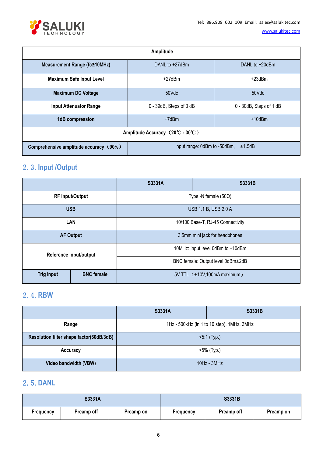

[www.salukitec.com](http://www.salukitec.com)

| Amplitude                              |                                          |                         |  |  |  |
|----------------------------------------|------------------------------------------|-------------------------|--|--|--|
| Measurement Range (fc≥10MHz)           | DANL to +27dBm                           | DANL to +20dBm          |  |  |  |
| <b>Maximum Safe Input Level</b>        | $+27$ d $Bm$                             | $+23$ dBm               |  |  |  |
| <b>Maximum DC Voltage</b>              | 50Vdc<br>50Vdc                           |                         |  |  |  |
| <b>Input Attenuator Range</b>          | 0 - 39dB, Steps of 3 dB                  | 0 - 30dB, Steps of 1 dB |  |  |  |
| 1dB compression                        | $+10$ dBm<br>$+7d$ Bm                    |                         |  |  |  |
| Amplitude Accuracy (20°C - 30°C)       |                                          |                         |  |  |  |
| Comprehensive amplitude accuracy (90%) | Input range: 0dBm to -50dBm, $\pm$ 1.5dB |                         |  |  |  |

# <span id="page-5-0"></span>2.3.**Input /Output**

|                        |                   | S3331A                            | S3331B               |  |  |
|------------------------|-------------------|-----------------------------------|----------------------|--|--|
| <b>RF Input/Output</b> |                   | Type -N female $(50\Omega)$       |                      |  |  |
| <b>USB</b>             |                   |                                   | USB 1.1 B, USB 2.0 A |  |  |
| LAN                    |                   | 10/100 Base-T, RJ-45 Connectivity |                      |  |  |
| <b>AF Output</b>       |                   | 3.5mm mini jack for headphones    |                      |  |  |
| Reference input/output |                   | 10MHz: Input level 0dBm to +10dBm |                      |  |  |
|                        |                   | BNC female: Output level 0dBm±2dB |                      |  |  |
| <b>Trig input</b>      | <b>BNC</b> female | 5V TTL (±10V,100mA maximum)       |                      |  |  |

# <span id="page-5-1"></span>2.4.**RBW**

|                                          | S3331A                                     | S3331B |  |
|------------------------------------------|--------------------------------------------|--------|--|
| Range                                    | 1Hz - 500kHz (in 1 to 10 step), 1MHz, 3MHz |        |  |
| Resolution filter shape factor(60dB/3dB) | $5:1$ (Typ.)                               |        |  |
| Accuracy                                 | <5% (Typ.)                                 |        |  |
| Video bandwidth (VBW)                    | $10Hz - 3MHz$                              |        |  |

## <span id="page-5-2"></span>2.5.**DANL**

| S3331A    |            |           | S3331B    |            |           |
|-----------|------------|-----------|-----------|------------|-----------|
| Frequency | Preamp off | Preamp on | Frequency | Preamp off | Preamp on |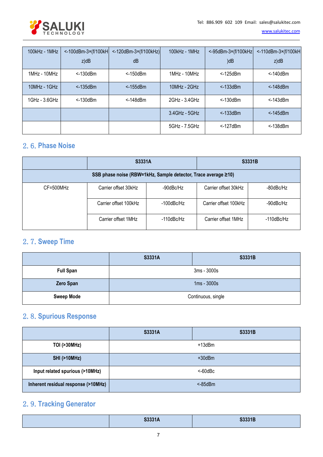

[www.salukitec.com](http://www.salukitec.com)

| 100kHz - 1MHz  | $\leq$ -100dBm-3 $\times$ (f/100kH | $\leq$ -120dBm-3×(f/100kHz) | 100kHz - 1MHz  | $\leq$ -95dBm-3 $\times$ (f/100kHz) | $\leq$ -110dBm-3 $\times$ (f/100kH |
|----------------|------------------------------------|-----------------------------|----------------|-------------------------------------|------------------------------------|
|                | $z$ )dB                            | dB                          |                | )dB                                 | $z$ )d $B$                         |
| $1MHz - 10MHz$ | $<$ -130 $dBm$                     | <-150dBm                    | $1MHz - 10MHz$ | $<$ -125 $dBm$                      | $<$ -140 $dBm$                     |
| 10MHz - 1GHz   | $<$ -135 $dBm$                     | $<$ -155dBm                 | $10MHz - 2GHz$ | $<$ -133 $dBm$                      | $< -148$ dBm                       |
| 1GHz - 3.6GHz  | $<$ -130 $dBm$                     | $<$ -148 $dBm$              | 2GHz - 3.4GHz  | $<$ -130 $dBm$                      | $<$ -143 $dBm$                     |
|                |                                    |                             | 3.4GHz - 5GHz  | $<$ -133 $dBm$                      | $<$ -145 $dBm$                     |
|                |                                    |                             | 5GHz - 7.5GHz  | $<$ -127 $dBm$                      | <-138dBm                           |

### <span id="page-6-0"></span>2.6.**Phase Noise**

|                                                                | <b>S3331A</b>         |                  | <b>S3331B</b>         |            |
|----------------------------------------------------------------|-----------------------|------------------|-----------------------|------------|
| SSB phase noise (RBW=1kHz, Sample detector, Trace average ≥10) |                       |                  |                       |            |
| CF=500MHz                                                      | Carrier offset 30kHz  | -90dBc/Hz        | Carrier offset 30kHz  | -80dBc/Hz  |
|                                                                | Carrier offset 100kHz | -100dBc/Hz       | Carrier offset 100kHz | -90dBc/Hz  |
|                                                                | Carrier offset 1MHz   | $-110$ d $Bc/Hz$ | Carrier offset 1MHz   | -110dBc/Hz |

# <span id="page-6-1"></span>2.7.**Sweep Time**

|                   | S3331A | S3331B             |
|-------------------|--------|--------------------|
| <b>Full Span</b>  |        | 3ms - 3000s        |
| Zero Span         |        | $1ms - 3000s$      |
| <b>Sweep Mode</b> |        | Continuous, single |

### <span id="page-6-2"></span>2.8.**Spurious Response**

|                                     | S3331A | <b>S3331B</b> |
|-------------------------------------|--------|---------------|
| <b>TOI (&gt;30MHz)</b>              |        | $+13$ d $Bm$  |
| <b>SHI (&gt;10MHz)</b>              |        | $+30$ dBm     |
| Input related spurious (>10MHz)     |        | $< 60$ d $Bc$ |
| Inherent residual response (>10MHz) |        | $<$ -85dBm    |

# <span id="page-6-3"></span>2.9.**Tracking Generator**

| S3331A | S3331B |
|--------|--------|
|        |        |